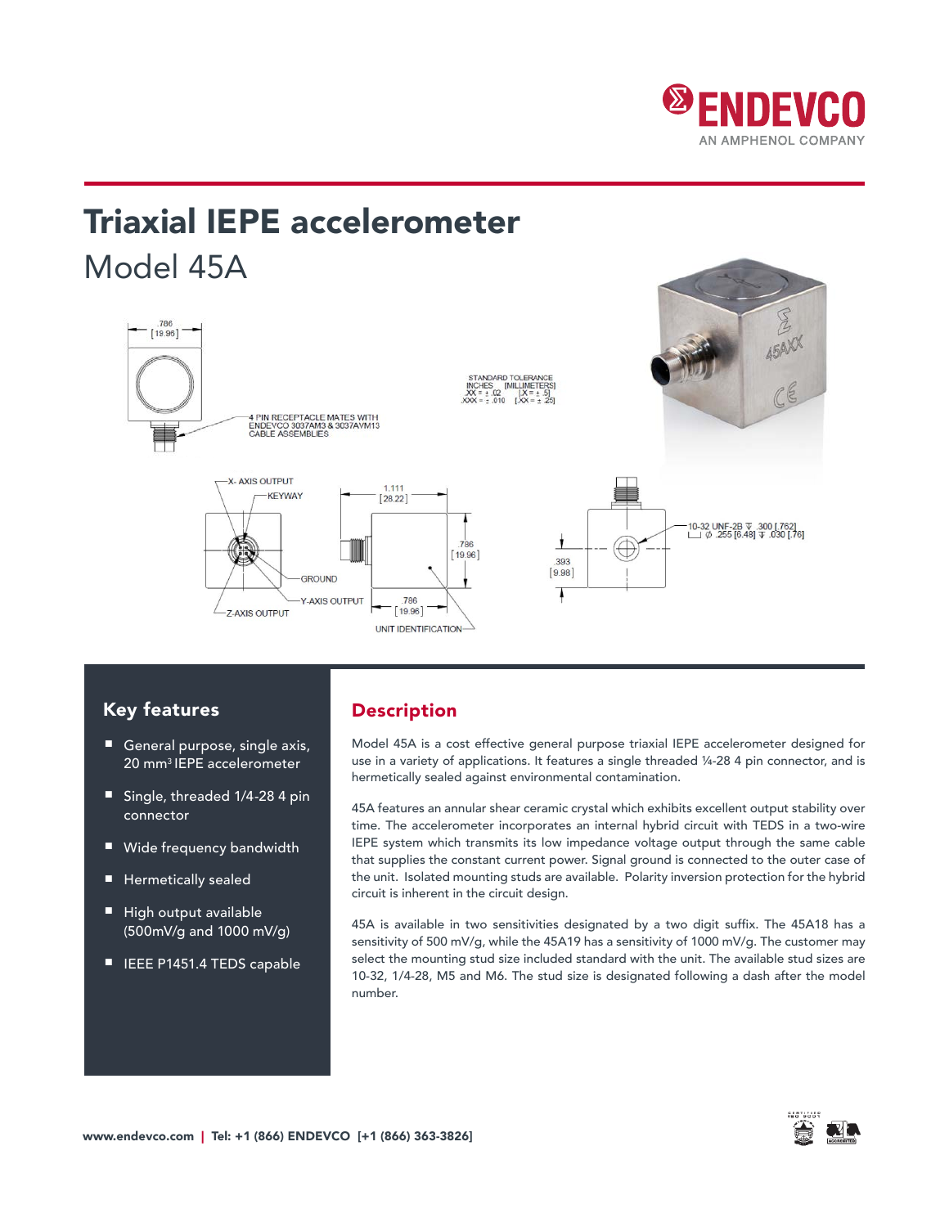

# Triaxial IEPE accelerometer Model 45A



## Key features

- General purpose, single axis, 20 mm3 IEPE accelerometer
- Single, threaded 1/4-28 4 pin connector
- Wide frequency bandwidth
- Hermetically sealed
- High output available (500mV/g and 1000 mV/g)
- IEEE P1451.4 TEDS capable

## Description

Model 45A is a cost effective general purpose triaxial IEPE accelerometer designed for use in a variety of applications. It features a single threaded ¼-28 4 pin connector, and is hermetically sealed against environmental contamination.

45A features an annular shear ceramic crystal which exhibits excellent output stability over time. The accelerometer incorporates an internal hybrid circuit with TEDS in a two-wire IEPE system which transmits its low impedance voltage output through the same cable that supplies the constant current power. Signal ground is connected to the outer case of the unit. Isolated mounting studs are available. Polarity inversion protection for the hybrid circuit is inherent in the circuit design.

45A is available in two sensitivities designated by a two digit suffix. The 45A18 has a sensitivity of 500 mV/g, while the 45A19 has a sensitivity of 1000 mV/g. The customer may select the mounting stud size included standard with the unit. The available stud sizes are 10-32, 1/4-28, M5 and M6. The stud size is designated following a dash after the model number.

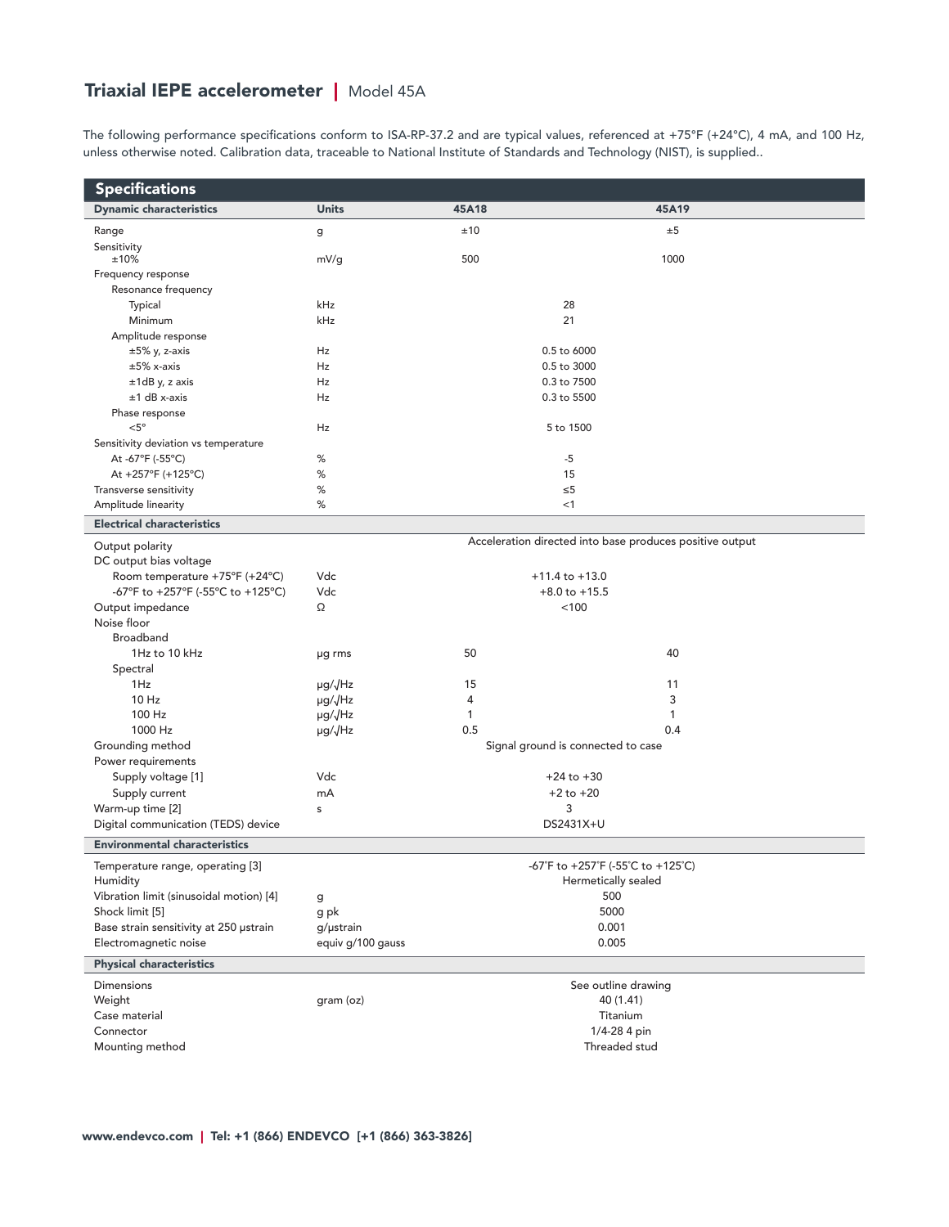# Triaxial IEPE accelerometer | Model 45A

The following performance specifications conform to ISA-RP-37.2 and are typical values, referenced at +75°F (+24°C), 4 mA, and 100 Hz, unless otherwise noted. Calibration data, traceable to National Institute of Standards and Technology (NIST), is supplied..

| <b>Specifications</b>                                    |                             |                     |                                                          |  |  |  |  |  |
|----------------------------------------------------------|-----------------------------|---------------------|----------------------------------------------------------|--|--|--|--|--|
| <b>Dynamic characteristics</b>                           | <b>Units</b>                | 45A18               | 45A19                                                    |  |  |  |  |  |
| Range                                                    | g                           | ±10                 | ±5                                                       |  |  |  |  |  |
| Sensitivity                                              |                             |                     |                                                          |  |  |  |  |  |
| ±10%                                                     | mV/g                        | 500                 | 1000                                                     |  |  |  |  |  |
| Frequency response                                       |                             |                     |                                                          |  |  |  |  |  |
| Resonance frequency                                      |                             |                     |                                                          |  |  |  |  |  |
| Typical                                                  | kHz                         |                     | 28                                                       |  |  |  |  |  |
| Minimum                                                  | kHz                         |                     | 21                                                       |  |  |  |  |  |
| Amplitude response                                       |                             |                     |                                                          |  |  |  |  |  |
| $\pm 5\%$ y, z-axis<br>$±5\%$ x-axis                     | Hz                          | 0.5 to 6000         |                                                          |  |  |  |  |  |
|                                                          | Hz<br>Hz                    |                     | 0.5 to 3000<br>0.3 to 7500                               |  |  |  |  |  |
| ±1dB y, z axis<br>$±1$ dB x-axis                         | Hz                          |                     | 0.3 to 5500                                              |  |  |  |  |  |
|                                                          |                             |                     |                                                          |  |  |  |  |  |
| Phase response<br>$< 5^{\circ}$                          | Hz                          |                     | 5 to 1500                                                |  |  |  |  |  |
|                                                          |                             |                     |                                                          |  |  |  |  |  |
| Sensitivity deviation vs temperature<br>At -67°F (-55°C) | %                           |                     | $-5$                                                     |  |  |  |  |  |
| At +257°F (+125°C)                                       | $\%$                        |                     | 15                                                       |  |  |  |  |  |
| Transverse sensitivity                                   | %                           |                     | $\leq 5$                                                 |  |  |  |  |  |
| Amplitude linearity                                      | %                           |                     | <1                                                       |  |  |  |  |  |
|                                                          |                             |                     |                                                          |  |  |  |  |  |
| <b>Electrical characteristics</b>                        |                             |                     | Acceleration directed into base produces positive output |  |  |  |  |  |
| Output polarity                                          |                             |                     |                                                          |  |  |  |  |  |
| DC output bias voltage                                   |                             |                     |                                                          |  |  |  |  |  |
| Room temperature +75°F (+24°C)                           | Vdc                         |                     | $+11.4$ to $+13.0$                                       |  |  |  |  |  |
| -67°F to +257°F (-55°C to +125°C)                        | Vdc                         |                     | $+8.0$ to $+15.5$                                        |  |  |  |  |  |
| Output impedance                                         | Ω                           |                     | < 100                                                    |  |  |  |  |  |
| Noise floor                                              |                             |                     |                                                          |  |  |  |  |  |
| Broadband                                                |                             |                     |                                                          |  |  |  |  |  |
| 1Hz to 10 kHz                                            | µg rms                      | 50                  | 40                                                       |  |  |  |  |  |
| Spectral                                                 |                             |                     |                                                          |  |  |  |  |  |
| 1Hz                                                      | µg/√Hz                      | 15                  | 11                                                       |  |  |  |  |  |
| 10 Hz                                                    | µg/√Hz                      | 4                   | 3                                                        |  |  |  |  |  |
| 100 Hz                                                   | µg/√Hz                      | 1                   | 1                                                        |  |  |  |  |  |
| 1000 Hz                                                  | $\mu$ g/ $\sqrt{\text{Hz}}$ | 0.5                 | 0.4                                                      |  |  |  |  |  |
| Grounding method                                         |                             |                     | Signal ground is connected to case                       |  |  |  |  |  |
| Power requirements                                       |                             |                     |                                                          |  |  |  |  |  |
| Supply voltage [1]                                       | Vdc                         |                     | $+24$ to $+30$                                           |  |  |  |  |  |
| Supply current                                           | mA                          |                     | $+2$ to $+20$                                            |  |  |  |  |  |
| Warm-up time [2]                                         | s                           |                     | 3                                                        |  |  |  |  |  |
| Digital communication (TEDS) device                      |                             |                     | DS2431X+U                                                |  |  |  |  |  |
| <b>Environmental characteristics</b>                     |                             |                     |                                                          |  |  |  |  |  |
| Temperature range, operating [3]                         |                             |                     | -67°F to +257°F (-55°C to +125°C)                        |  |  |  |  |  |
| Humidity                                                 |                             | Hermetically sealed |                                                          |  |  |  |  |  |
| Vibration limit (sinusoidal motion) [4]                  | g                           |                     | 500                                                      |  |  |  |  |  |
| Shock limit [5]                                          | g pk                        |                     | 5000                                                     |  |  |  |  |  |
| Base strain sensitivity at 250 µstrain                   | g/µstrain                   |                     | 0.001                                                    |  |  |  |  |  |
| Electromagnetic noise                                    | equiv g/100 gauss           |                     | 0.005                                                    |  |  |  |  |  |
| <b>Physical characteristics</b>                          |                             |                     |                                                          |  |  |  |  |  |
| <b>Dimensions</b>                                        |                             |                     | See outline drawing                                      |  |  |  |  |  |
| Weight                                                   | gram (oz)                   |                     | 40 (1.41)                                                |  |  |  |  |  |
| Case material                                            |                             |                     | Titanium                                                 |  |  |  |  |  |
| Connector                                                |                             |                     | 1/4-28 4 pin                                             |  |  |  |  |  |
| Mounting method                                          |                             |                     | Threaded stud                                            |  |  |  |  |  |